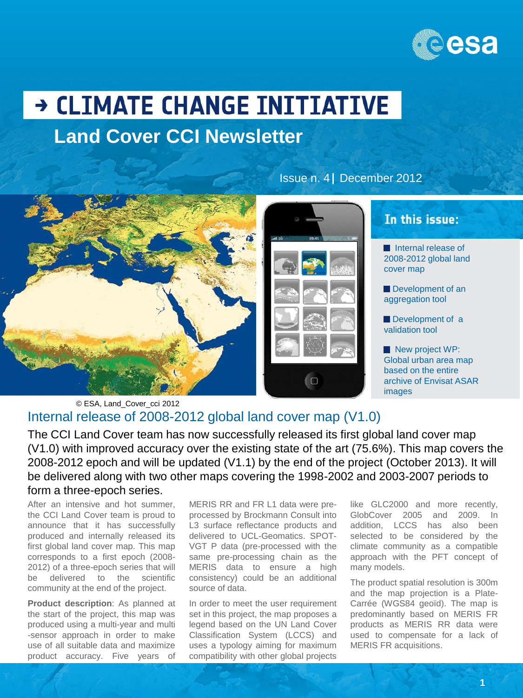

# → CLIMATE CHANGE INITIATIVE **Land Cover CCI Newsletter**



l O

Issue n. 4 December 2012

## In this issue:

 Internal release of 2008-2012 global land cover map

Development of an aggregation tool

Development of a validation tool

New project WP: Global urban area map based on the entire archive of Envisat ASAR images

#### Internal release of 2008-2012 global land cover map (V1.0) © ESA, Land\_Cover\_cci 2012

The CCI Land Cover team has now successfully released its first global land cover map (V1.0) with improved accuracy over the existing state of the art (75.6%). This map covers the 2008-2012 epoch and will be updated (V1.1) by the end of the project (October 2013). It will be delivered along with two other maps covering the 1998-2002 and 2003-2007 periods to form a three-epoch series.

After an intensive and hot summer, the CCI Land Cover team is proud to announce that it has successfully produced and internally released its first global land cover map. This map corresponds to a first epoch (2008- 2012) of a three-epoch series that will be delivered to the scientific community at the end of the project.

**Product description**: As planned at the start of the project, this map was produced using a multi-year and multi -sensor approach in order to make use of all suitable data and maximize product accuracy. Five years of

MERIS RR and FR L1 data were preprocessed by Brockmann Consult into L3 surface reflectance products and delivered to UCL-Geomatics. SPOT-VGT P data (pre-processed with the same pre-processing chain as the MERIS data to ensure a high consistency) could be an additional source of data.

In order to meet the user requirement set in this project, the map proposes a legend based on the UN Land Cover Classification System (LCCS) and uses a typology aiming for maximum compatibility with other global projects

like GLC2000 and more recently, GlobCover 2005 and 2009. addition, LCCS has also been selected to be considered by the climate community as a compatible approach with the PFT concept of many models.

The product spatial resolution is 300m and the map projection is a Plate-Carrée (WGS84 geoïd). The map is predominantly based on MERIS FR products as MERIS RR data were used to compensate for a lack of MERIS FR acquisitions.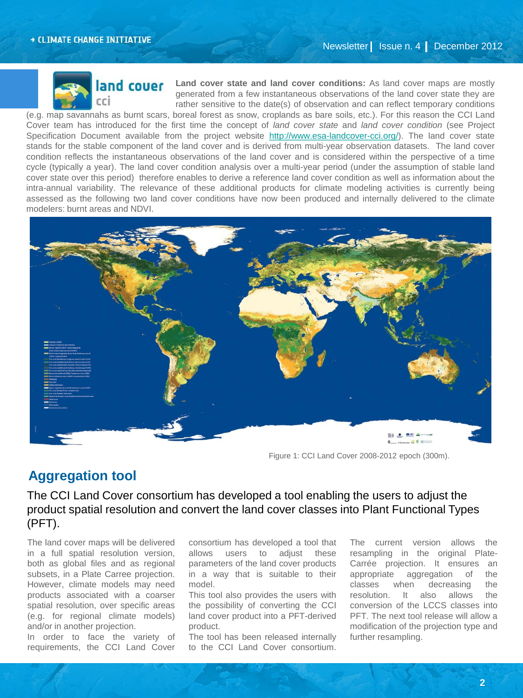

**and couer** Land cover state and land cover conditions: As land cover maps are mostly generated from a few instantaneous observations of the land cover state they are rather sensitive to the date(s) of observation and can reflect temporary conditions

(e.g. map savannahs as burnt scars, boreal forest as snow, croplands as bare soils, etc.). For this reason the CCI Land Cover team has introduced for the first time the concept of *land cover state* and *land cover condition* (see Project Specification Document available from the project website <http://www.esa-landcover-cci.org/>). The land cover state stands for the stable component of the land cover and is derived from multi-year observation datasets. The land cover condition reflects the instantaneous observations of the land cover and is considered within the perspective of a time cycle (typically a year). The land cover condition analysis over a multi-year period (under the assumption of stable land cover state over this period) therefore enables to derive a reference land cover condition as well as information about the intra-annual variability. The relevance of these additional products for climate modeling activities is currently being assessed as the following two land cover conditions have now been produced and internally delivered to the climate modelers: burnt areas and NDVI.



Figure 1: CCI Land Cover 2008-2012 epoch (300m).

#### **Aggregation tool**

The CCI Land Cover consortium has developed a tool enabling the users to adjust the product spatial resolution and convert the land cover classes into Plant Functional Types (PFT).

The land cover maps will be delivered in a full spatial resolution version, both as global files and as regional subsets, in a Plate Carree projection. However, climate models may need products associated with a coarser spatial resolution, over specific areas (e.g. for regional climate models) and/or in another projection.

In order to face the variety of requirements, the CCI Land Cover consortium has developed a tool that allows users to adjust these parameters of the land cover products in a way that is suitable to their model.

This tool also provides the users with the possibility of converting the CCI land cover product into a PFT-derived product.

The tool has been released internally to the CCI Land Cover consortium.

The current version allows the resampling in the original Plate-Carrée projection. It ensures an appropriate aggregation of the classes when decreasing the resolution. It also allows the conversion of the LCCS classes into PFT. The next tool release will allow a modification of the projection type and further resampling.